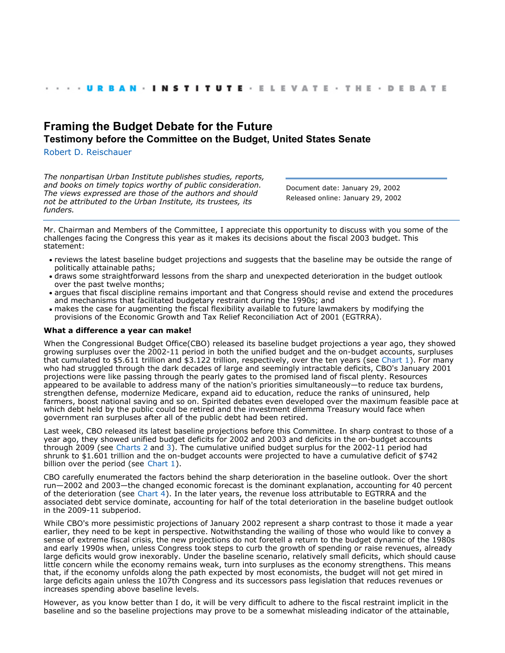# **[Framing the Budget Debate for the Future](http://webarchive.urban.org/index.cfm) Testimony before the Committee on the Budget, United States Senate**

[Robert D. Reischauer](http://www.urban.org/RobertDReischauer)

*The nonpartisan Urban Institute publishes studies, reports, and books on timely topics worthy of public consideration. The views expressed are those of the authors and should not be attributed to the Urban Institute, its trustees, its funders.*

Document date: January 29, 2002 Released online: January 29, 2002

Mr. Chairman and Members of the Committee, I appreciate this opportunity to discuss with you some of the challenges facing the Congress this year as it makes its decisions about the fiscal 2003 budget. This statement:

- reviews the latest baseline budget projections and suggests that the baseline may be outside the range of politically attainable paths;
- draws some straightforward lessons from the sharp and unexpected deterioration in the budget outlook over the past twelve months;
- argues that fiscal discipline remains important and that Congress should revise and extend the procedures and mechanisms that facilitated budgetary restraint during the 1990s; and
- makes the case for augmenting the fiscal flexibility available to future lawmakers by modifying the provisions of the Economic Growth and Tax Relief Reconciliation Act of 2001 (EGTRRA).

#### **What a difference a year can make!**

When the Congressional Budget Office(CBO) released its baseline budget projections a year ago, they showed growing surpluses over the 2002-11 period in both the unified budget and the on-budget accounts, surpluses that cumulated to \$5.611 trillion and \$3.122 trillion, respectively, over the ten years (see Chart 1). For many who had struggled through the dark decades of large and seemingly intractable deficits, CBO's January 2001 projections were like passing through the pearly gates to the promised land of fiscal plenty. Resources appeared to be available to address many of the nation's priorities simultaneously—to reduce tax burdens, strengthen defense, modernize Medicare, expand aid to education, reduce the ranks of uninsured, help farmers, boost national saving and so on. Spirited debates even developed over the maximum feasible pace at which debt held by the public could be retired and the investment dilemma Treasury would face when government ran surpluses after all of the public debt had been retired.

Last week, CBO released its latest baseline projections before this Committee. In sharp contrast to those of a year ago, they showed unified budget deficits for 2002 and 2003 and deficits in the on-budget accounts through 2009 (see Charts 2 and 3). The cumulative unified budget surplus for the 2002-11 period had shrunk to \$1.601 trillion and the on-budget accounts were projected to have a cumulative deficit of \$742 billion over the period (see Chart 1).

CBO carefully enumerated the factors behind the sharp deterioration in the baseline outlook. Over the short run—2002 and 2003—the changed economic forecast is the dominant explanation, accounting for 40 percent of the deterioration (see Chart  $\overline{4}$ ). In the later years, the revenue loss attributable to EGTRRA and the associated debt service dominate, accounting for half of the total deterioration in the baseline budget outlook in the 2009-11 subperiod.

While CBO's more pessimistic projections of January 2002 represent a sharp contrast to those it made a year earlier, they need to be kept in perspective. Notwithstanding the wailing of those who would like to convey a sense of extreme fiscal crisis, the new projections do not foretell a return to the budget dynamic of the 1980s and early 1990s when, unless Congress took steps to curb the growth of spending or raise revenues, already large deficits would grow inexorably. Under the baseline scenario, relatively small deficits, which should cause little concern while the economy remains weak, turn into surpluses as the economy strengthens. This means that, if the economy unfolds along the path expected by most economists, the budget will not get mired in large deficits again unless the 107th Congress and its successors pass legislation that reduces revenues or increases spending above baseline levels.

However, as you know better than I do, it will be very difficult to adhere to the fiscal restraint implicit in the baseline and so the baseline projections may prove to be a somewhat misleading indicator of the attainable,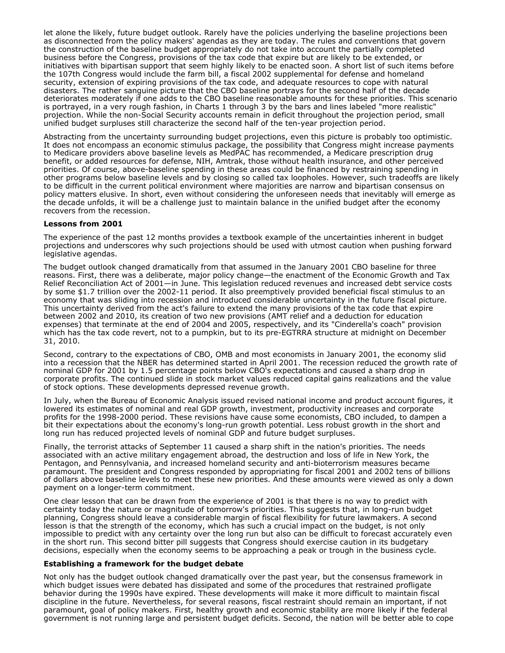let alone the likely, future budget outlook. Rarely have the policies underlying the baseline projections been as disconnected from the policy makers' agendas as they are today. The rules and conventions that govern the construction of the baseline budget appropriately do not take into account the partially completed business before the Congress, provisions of the tax code that expire but are likely to be extended, or initiatives with bipartisan support that seem highly likely to be enacted soon. A short list of such items before the 107th Congress would include the farm bill, a fiscal 2002 supplemental for defense and homeland security, extension of expiring provisions of the tax code, and adequate resources to cope with natural disasters. The rather sanguine picture that the CBO baseline portrays for the second half of the decade deteriorates moderately if one adds to the CBO baseline reasonable amounts for these priorities. This scenario is portrayed, in a very rough fashion, in Charts 1 through 3 by the bars and lines labeled "more realistic" projection. While the non-Social Security accounts remain in deficit throughout the projection period, small unified budget surpluses still characterize the second half of the ten-year projection period.

Abstracting from the uncertainty surrounding budget projections, even this picture is probably too optimistic. It does not encompass an economic stimulus package, the possibility that Congress might increase payments to Medicare providers above baseline levels as MedPAC has recommended, a Medicare prescription drug benefit, or added resources for defense, NIH, Amtrak, those without health insurance, and other perceived priorities. Of course, above-baseline spending in these areas could be financed by restraining spending in other programs below baseline levels and by closing so called tax loopholes. However, such tradeoffs are likely to be difficult in the current political environment where majorities are narrow and bipartisan consensus on policy matters elusive. In short, even without considering the unforeseen needs that inevitably will emerge as the decade unfolds, it will be a challenge just to maintain balance in the unified budget after the economy recovers from the recession.

### **Lessons from 2001**

The experience of the past 12 months provides a textbook example of the uncertainties inherent in budget projections and underscores why such projections should be used with utmost caution when pushing forward legislative agendas.

The budget outlook changed dramatically from that assumed in the January 2001 CBO baseline for three reasons. First, there was a deliberate, major policy change—the enactment of the Economic Growth and Tax Relief Reconciliation Act of 2001—in June. This legislation reduced revenues and increased debt service costs by some \$1.7 trillion over the 2002-11 period. It also preemptively provided beneficial fiscal stimulus to an economy that was sliding into recession and introduced considerable uncertainty in the future fiscal picture. This uncertainty derived from the act's failure to extend the many provisions of the tax code that expire between 2002 and 2010, its creation of two new provisions (AMT relief and a deduction for education expenses) that terminate at the end of 2004 and 2005, respectively, and its "Cinderella's coach" provision which has the tax code revert, not to a pumpkin, but to its pre-EGTRRA structure at midnight on December 31, 2010.

Second, contrary to the expectations of CBO, OMB and most economists in January 2001, the economy slid into a recession that the NBER has determined started in April 2001. The recession reduced the growth rate of nominal GDP for 2001 by 1.5 percentage points below CBO's expectations and caused a sharp drop in corporate profits. The continued slide in stock market values reduced capital gains realizations and the value of stock options. These developments depressed revenue growth.

In July, when the Bureau of Economic Analysis issued revised national income and product account figures, it lowered its estimates of nominal and real GDP growth, investment, productivity increases and corporate profits for the 1998-2000 period. These revisions have cause some economists, CBO included, to dampen a bit their expectations about the economy's long-run growth potential. Less robust growth in the short and long run has reduced projected levels of nominal GDP and future budget surpluses.

Finally, the terrorist attacks of September 11 caused a sharp shift in the nation's priorities. The needs associated with an active military engagement abroad, the destruction and loss of life in New York, the Pentagon, and Pennsylvania, and increased homeland security and anti-bioterrorism measures became paramount. The president and Congress responded by appropriating for fiscal 2001 and 2002 tens of billions of dollars above baseline levels to meet these new priorities. And these amounts were viewed as only a down payment on a longer-term commitment.

One clear lesson that can be drawn from the experience of 2001 is that there is no way to predict with certainty today the nature or magnitude of tomorrow's priorities. This suggests that, in long-run budget planning, Congress should leave a considerable margin of fiscal flexibility for future lawmakers. A second lesson is that the strength of the economy, which has such a crucial impact on the budget, is not only impossible to predict with any certainty over the long run but also can be difficult to forecast accurately even in the short run. This second bitter pill suggests that Congress should exercise caution in its budgetary decisions, especially when the economy seems to be approaching a peak or trough in the business cycle.

#### **Establishing a framework for the budget debate**

Not only has the budget outlook changed dramatically over the past year, but the consensus framework in which budget issues were debated has dissipated and some of the procedures that restrained profligate behavior during the 1990s have expired. These developments will make it more difficult to maintain fiscal discipline in the future. Nevertheless, for several reasons, fiscal restraint should remain an important, if not paramount, goal of policy makers. First, healthy growth and economic stability are more likely if the federal government is not running large and persistent budget deficits. Second, the nation will be better able to cope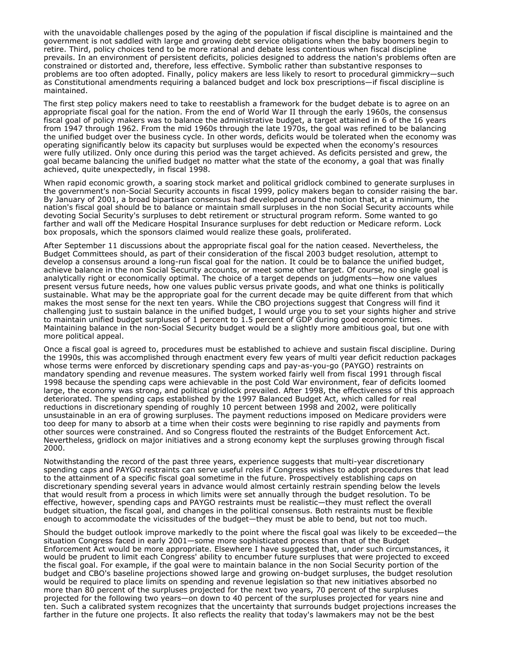with the unavoidable challenges posed by the aging of the population if fiscal discipline is maintained and the government is not saddled with large and growing debt service obligations when the baby boomers begin to retire. Third, policy choices tend to be more rational and debate less contentious when fiscal discipline prevails. In an environment of persistent deficits, policies designed to address the nation's problems often are constrained or distorted and, therefore, less effective. Symbolic rather than substantive responses to problems are too often adopted. Finally, policy makers are less likely to resort to procedural gimmickry—such as Constitutional amendments requiring a balanced budget and lock box prescriptions—if fiscal discipline is maintained.

The first step policy makers need to take to reestablish a framework for the budget debate is to agree on an appropriate fiscal goal for the nation. From the end of World War II through the early 1960s, the consensus fiscal goal of policy makers was to balance the administrative budget, a target attained in 6 of the 16 years from 1947 through 1962. From the mid 1960s through the late 1970s, the goal was refined to be balancing the unified budget over the business cycle. In other words, deficits would be tolerated when the economy was operating significantly below its capacity but surpluses would be expected when the economy's resources were fully utilized. Only once during this period was the target achieved. As deficits persisted and grew, the goal became balancing the unified budget no matter what the state of the economy, a goal that was finally achieved, quite unexpectedly, in fiscal 1998.

When rapid economic growth, a soaring stock market and political gridlock combined to generate surpluses in the government's non-Social Security accounts in fiscal 1999, policy makers began to consider raising the bar. By January of 2001, a broad bipartisan consensus had developed around the notion that, at a minimum, the nation's fiscal goal should be to balance or maintain small surpluses in the non Social Security accounts while devoting Social Security's surpluses to debt retirement or structural program reform. Some wanted to go farther and wall off the Medicare Hospital Insurance surpluses for debt reduction or Medicare reform. Lock box proposals, which the sponsors claimed would realize these goals, proliferated.

After September 11 discussions about the appropriate fiscal goal for the nation ceased. Nevertheless, the Budget Committees should, as part of their consideration of the fiscal 2003 budget resolution, attempt to develop a consensus around a long-run fiscal goal for the nation. It could be to balance the unified budget, achieve balance in the non Social Security accounts, or meet some other target. Of course, no single goal is analytically right or economically optimal. The choice of a target depends on judgments—how one values present versus future needs, how one values public versus private goods, and what one thinks is politically sustainable. What may be the appropriate goal for the current decade may be quite different from that which makes the most sense for the next ten years. While the CBO projections suggest that Congress will find it challenging just to sustain balance in the unified budget, I would urge you to set your sights higher and strive to maintain unified budget surpluses of 1 percent to 1.5 percent of GDP during good economic times. Maintaining balance in the non-Social Security budget would be a slightly more ambitious goal, but one with more political appeal.

Once a fiscal goal is agreed to, procedures must be established to achieve and sustain fiscal discipline. During the 1990s, this was accomplished through enactment every few years of multi year deficit reduction packages whose terms were enforced by discretionary spending caps and pay-as-you-go (PAYGO) restraints on mandatory spending and revenue measures. The system worked fairly well from fiscal 1991 through fiscal 1998 because the spending caps were achievable in the post Cold War environment, fear of deficits loomed large, the economy was strong, and political gridlock prevailed. After 1998, the effectiveness of this approach deteriorated. The spending caps established by the 1997 Balanced Budget Act, which called for real reductions in discretionary spending of roughly 10 percent between 1998 and 2002, were politically unsustainable in an era of growing surpluses. The payment reductions imposed on Medicare providers were too deep for many to absorb at a time when their costs were beginning to rise rapidly and payments from other sources were constrained. And so Congress flouted the restraints of the Budget Enforcement Act. Nevertheless, gridlock on major initiatives and a strong economy kept the surpluses growing through fiscal 2000.

Notwithstanding the record of the past three years, experience suggests that multi-year discretionary spending caps and PAYGO restraints can serve useful roles if Congress wishes to adopt procedures that lead to the attainment of a specific fiscal goal sometime in the future. Prospectively establishing caps on discretionary spending several years in advance would almost certainly restrain spending below the levels that would result from a process in which limits were set annually through the budget resolution. To be effective, however, spending caps and PAYGO restraints must be realistic—they must reflect the overall budget situation, the fiscal goal, and changes in the political consensus. Both restraints must be flexible enough to accommodate the vicissitudes of the budget—they must be able to bend, but not too much.

Should the budget outlook improve markedly to the point where the fiscal goal was likely to be exceeded—the situation Congress faced in early 2001—some more sophisticated process than that of the Budget Enforcement Act would be more appropriate. Elsewhere I have suggested that, under such circumstances, it would be prudent to limit each Congress' ability to encumber future surpluses that were projected to exceed the fiscal goal. For example, if the goal were to maintain balance in the non Social Security portion of the budget and CBO's baseline projections showed large and growing on-budget surpluses, the budget resolution would be required to place limits on spending and revenue legislation so that new initiatives absorbed no more than 80 percent of the surpluses projected for the next two years, 70 percent of the surpluses projected for the following two years—on down to 40 percent of the surpluses projected for years nine and ten. Such a calibrated system recognizes that the uncertainty that surrounds budget projections increases the farther in the future one projects. It also reflects the reality that today's lawmakers may not be the best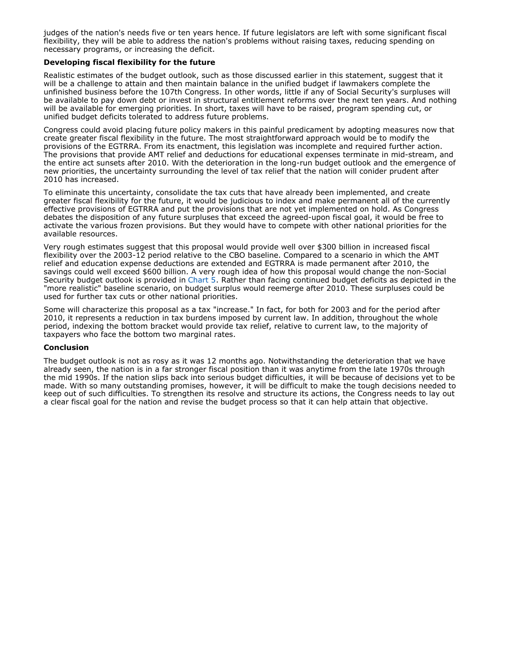judges of the nation's needs five or ten years hence. If future legislators are left with some significant fiscal flexibility, they will be able to address the nation's problems without raising taxes, reducing spending on necessary programs, or increasing the deficit.

#### **Developing fiscal flexibility for the future**

Realistic estimates of the budget outlook, such as those discussed earlier in this statement, suggest that it will be a challenge to attain and then maintain balance in the unified budget if lawmakers complete the unfinished business before the 107th Congress. In other words, little if any of Social Security's surpluses will be available to pay down debt or invest in structural entitlement reforms over the next ten years. And nothing will be available for emerging priorities. In short, taxes will have to be raised, program spending cut, or unified budget deficits tolerated to address future problems.

Congress could avoid placing future policy makers in this painful predicament by adopting measures now that create greater fiscal flexibility in the future. The most straightforward approach would be to modify the provisions of the EGTRRA. From its enactment, this legislation was incomplete and required further action. The provisions that provide AMT relief and deductions for educational expenses terminate in mid-stream, and the entire act sunsets after 2010. With the deterioration in the long-run budget outlook and the emergence of new priorities, the uncertainty surrounding the level of tax relief that the nation will conider prudent after 2010 has increased.

To eliminate this uncertainty, consolidate the tax cuts that have already been implemented, and create greater fiscal flexibility for the future, it would be judicious to index and make permanent all of the currently effective provisions of EGTRRA and put the provisions that are not yet implemented on hold. As Congress debates the disposition of any future surpluses that exceed the agreed-upon fiscal goal, it would be free to activate the various frozen provisions. But they would have to compete with other national priorities for the available resources.

Very rough estimates suggest that this proposal would provide well over \$300 billion in increased fiscal flexibility over the 2003-12 period relative to the CBO baseline. Compared to a scenario in which the AMT relief and education expense deductions are extended and EGTRRA is made permanent after 2010, the savings could well exceed \$600 billion. A very rough idea of how this proposal would change the non-Social Security budget outlook is provided in Chart 5. Rather than facing continued budget deficits as depicted in the "more realistic" baseline scenario, on budget surplus would reemerge after 2010. These surpluses could be used for further tax cuts or other national priorities.

Some will characterize this proposal as a tax "increase." In fact, for both for 2003 and for the period after 2010, it represents a reduction in tax burdens imposed by current law. In addition, throughout the whole period, indexing the bottom bracket would provide tax relief, relative to current law, to the majority of taxpayers who face the bottom two marginal rates.

#### **Conclusion**

The budget outlook is not as rosy as it was 12 months ago. Notwithstanding the deterioration that we have already seen, the nation is in a far stronger fiscal position than it was anytime from the late 1970s through the mid 1990s. If the nation slips back into serious budget difficulties, it will be because of decisions yet to be made. With so many outstanding promises, however, it will be difficult to make the tough decisions needed to keep out of such difficulties. To strengthen its resolve and structure its actions, the Congress needs to lay out a clear fiscal goal for the nation and revise the budget process so that it can help attain that objective.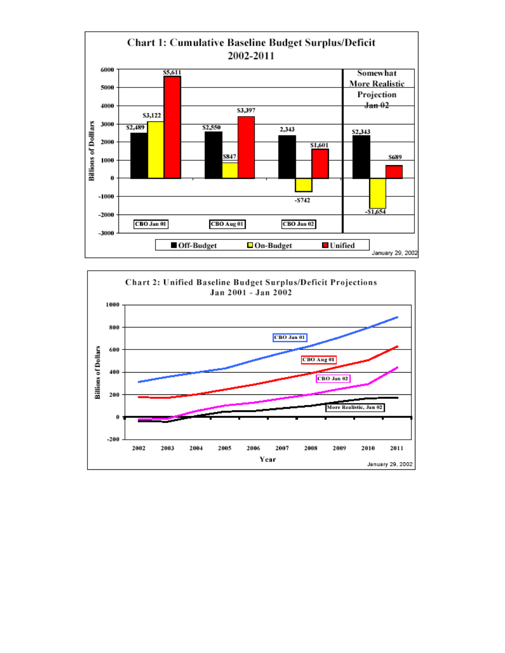

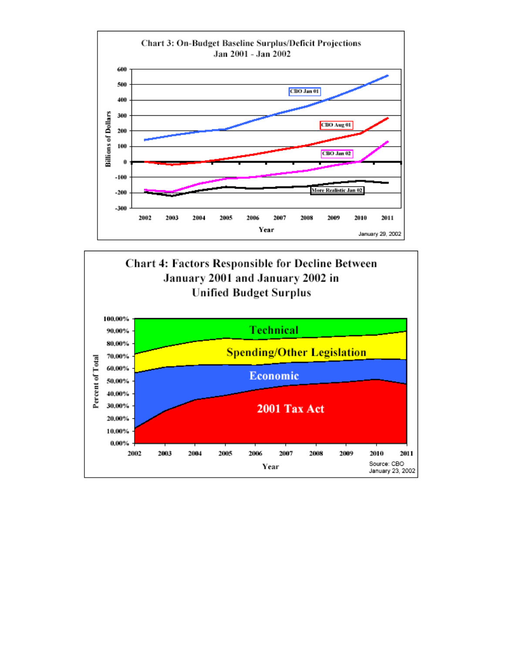